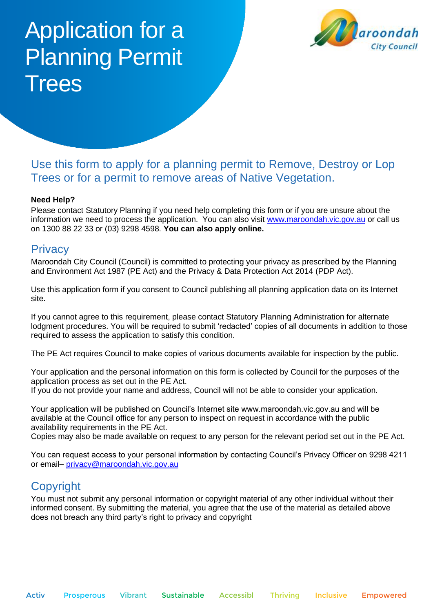# Application for a Planning Permit **Trees**



# Use this form to apply for a planning permit to Remove, Destroy or Lop Trees or for a permit to remove areas of Native Vegetation.

#### **Need Help?**

Please contact Statutory Planning if you need help completing this form or if you are unsure about the information we need to process the application. You can also visit [www.maroondah.vic.gov.au](http://www.maroondah.vic.gov.au/) or call us on 1300 88 22 33 or (03) 9298 4598. **You can also apply online.**

#### **Privacy**

Maroondah City Council (Council) is committed to protecting your privacy as prescribed by the Planning and Environment Act 1987 (PE Act) and the Privacy & Data Protection Act 2014 (PDP Act).

Use this application form if you consent to Council publishing all planning application data on its Internet site.

If you cannot agree to this requirement, please contact Statutory Planning Administration for alternate lodgment procedures. You will be required to submit 'redacted' copies of all documents in addition to those required to assess the application to satisfy this condition.

The PE Act requires Council to make copies of various documents available for inspection by the public.

Your application and the personal information on this form is collected by Council for the purposes of the application process as set out in the PE Act.

If you do not provide your name and address, Council will not be able to consider your application.

Your application will be published on Council's Internet site www.maroondah.vic.gov.au and will be available at the Council office for any person to inspect on request in accordance with the public availability requirements in the PE Act.

Copies may also be made available on request to any person for the relevant period set out in the PE Act.

You can request access to your personal information by contacting Council's Privacy Officer on 9298 4211 or email– privacy@maroondah.vic.gov.au

# Copyright

You must not submit any personal information or copyright material of any other individual without their informed consent. By submitting the material, you agree that the use of the material as detailed above does not breach any third party's right to privacy and copyright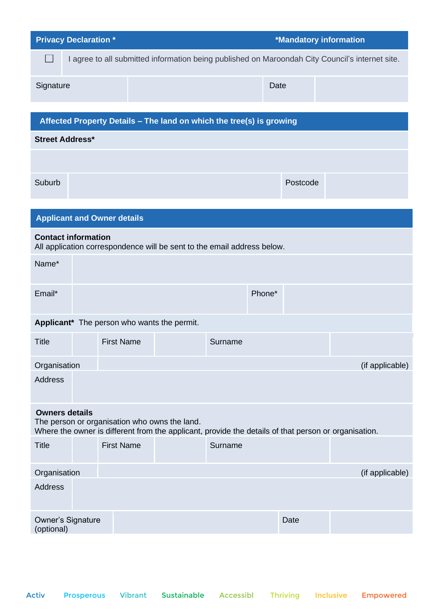| <b>Privacy Declaration *</b>                                                                                                                                                   |                                             |                   |                                                                         |         | *Mandatory information |          |                                                                                                 |  |
|--------------------------------------------------------------------------------------------------------------------------------------------------------------------------------|---------------------------------------------|-------------------|-------------------------------------------------------------------------|---------|------------------------|----------|-------------------------------------------------------------------------------------------------|--|
| $\sim$                                                                                                                                                                         |                                             |                   |                                                                         |         |                        |          | I agree to all submitted information being published on Maroondah City Council's internet site. |  |
| Signature                                                                                                                                                                      |                                             |                   |                                                                         |         | Date                   |          |                                                                                                 |  |
|                                                                                                                                                                                |                                             |                   |                                                                         |         |                        |          |                                                                                                 |  |
| Affected Property Details - The land on which the tree(s) is growing                                                                                                           |                                             |                   |                                                                         |         |                        |          |                                                                                                 |  |
| <b>Street Address*</b>                                                                                                                                                         |                                             |                   |                                                                         |         |                        |          |                                                                                                 |  |
|                                                                                                                                                                                |                                             |                   |                                                                         |         |                        |          |                                                                                                 |  |
| Suburb                                                                                                                                                                         |                                             |                   |                                                                         |         |                        | Postcode |                                                                                                 |  |
|                                                                                                                                                                                |                                             |                   |                                                                         |         |                        |          |                                                                                                 |  |
|                                                                                                                                                                                | <b>Applicant and Owner details</b>          |                   |                                                                         |         |                        |          |                                                                                                 |  |
|                                                                                                                                                                                | <b>Contact information</b>                  |                   | All application correspondence will be sent to the email address below. |         |                        |          |                                                                                                 |  |
| Name*                                                                                                                                                                          |                                             |                   |                                                                         |         |                        |          |                                                                                                 |  |
| Email*                                                                                                                                                                         |                                             |                   |                                                                         |         | Phone*                 |          |                                                                                                 |  |
|                                                                                                                                                                                | Applicant* The person who wants the permit. |                   |                                                                         |         |                        |          |                                                                                                 |  |
| <b>Title</b>                                                                                                                                                                   |                                             | <b>First Name</b> |                                                                         | Surname |                        |          |                                                                                                 |  |
| Organisation                                                                                                                                                                   |                                             |                   |                                                                         |         |                        |          | (if applicable)                                                                                 |  |
| <b>Address</b>                                                                                                                                                                 |                                             |                   |                                                                         |         |                        |          |                                                                                                 |  |
| <b>Owners details</b><br>The person or organisation who owns the land.<br>Where the owner is different from the applicant, provide the details of that person or organisation. |                                             |                   |                                                                         |         |                        |          |                                                                                                 |  |
| <b>Title</b>                                                                                                                                                                   |                                             | <b>First Name</b> |                                                                         | Surname |                        |          |                                                                                                 |  |
| Organisation                                                                                                                                                                   |                                             |                   |                                                                         |         |                        |          | (if applicable)                                                                                 |  |
| <b>Address</b>                                                                                                                                                                 |                                             |                   |                                                                         |         |                        |          |                                                                                                 |  |
| (optional)                                                                                                                                                                     | <b>Owner's Signature</b>                    |                   |                                                                         |         |                        | Date     |                                                                                                 |  |
|                                                                                                                                                                                |                                             |                   |                                                                         |         |                        |          |                                                                                                 |  |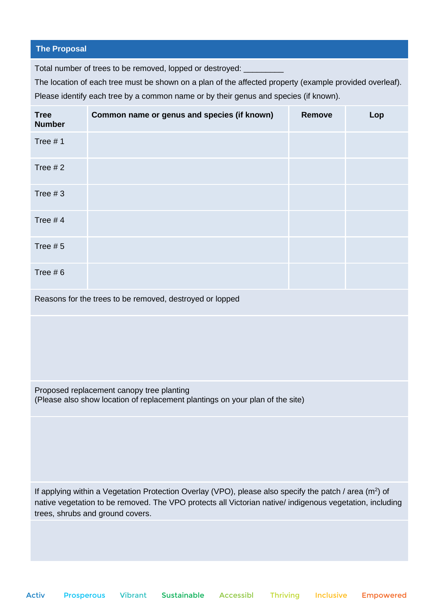#### **The Proposal**

Total number of trees to be removed, lopped or destroyed:

The location of each tree must be shown on a plan of the affected property (example provided overleaf). Please identify each tree by a common name or by their genus and species (if known).

| <b>Tree</b><br><b>Number</b> | Common name or genus and species (if known)              | Remove | Lop |
|------------------------------|----------------------------------------------------------|--------|-----|
| Tree $# 1$                   |                                                          |        |     |
| Tree $# 2$                   |                                                          |        |     |
| Tree $#3$                    |                                                          |        |     |
| Tree $# 4$                   |                                                          |        |     |
| Tree $# 5$                   |                                                          |        |     |
| Tree $# 6$                   |                                                          |        |     |
|                              | Reasons for the trees to be removed, destroyed or lopped |        |     |
|                              |                                                          |        |     |

Proposed replacement canopy tree planting (Please also show location of replacement plantings on your plan of the site)

If applying within a Vegetation Protection Overlay (VPO), please also specify the patch / area ( $m<sup>2</sup>$ ) of native vegetation to be removed. The VPO protects all Victorian native/ indigenous vegetation, including trees, shrubs and ground covers.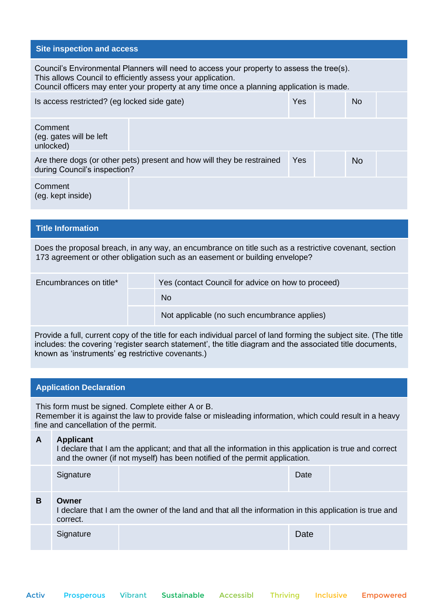#### **Site inspection and access**

Council's Environmental Planners will need to access your property to assess the tree(s). This allows Council to efficiently assess your application.

Council officers may enter your property at any time once a planning application is made.

| Is access restricted? (eg locked side gate)                                                            | Yes | <b>No</b> |           |  |
|--------------------------------------------------------------------------------------------------------|-----|-----------|-----------|--|
| Comment<br>(eg. gates will be left<br>unlocked)                                                        |     |           |           |  |
| Are there dogs (or other pets) present and how will they be restrained<br>during Council's inspection? |     |           | <b>No</b> |  |
| Comment<br>(eg. kept inside)                                                                           |     |           |           |  |

#### **Title Information**

Does the proposal breach, in any way, an encumbrance on title such as a restrictive covenant, section 173 agreement or other obligation such as an easement or building envelope?

| Encumbrances on title* | Yes (contact Council for advice on how to proceed) |
|------------------------|----------------------------------------------------|
|                        | No.                                                |
|                        | Not applicable (no such encumbrance applies)       |

Provide a full, current copy of the title for each individual parcel of land forming the subject site. (The title includes: the covering 'register search statement', the title diagram and the associated title documents, known as 'instruments' eg restrictive covenants.)

#### **Application Declaration**

This form must be signed. Complete either A or B. Remember it is against the law to provide false or misleading information, which could result in a heavy fine and cancellation of the permit.

#### **A Applicant** I declare that I am the applicant; and that all the information in this application is true and correct and the owner (if not myself) has been notified of the permit application.

|   | and the emiler in not injudity nad boon nothiod or the point application.                                                   |  |      |  |  |  |  |  |  |
|---|-----------------------------------------------------------------------------------------------------------------------------|--|------|--|--|--|--|--|--|
|   | Signature                                                                                                                   |  | Date |  |  |  |  |  |  |
| в | Owner<br>I declare that I am the owner of the land and that all the information in this application is true and<br>correct. |  |      |  |  |  |  |  |  |
|   | Signature                                                                                                                   |  | Date |  |  |  |  |  |  |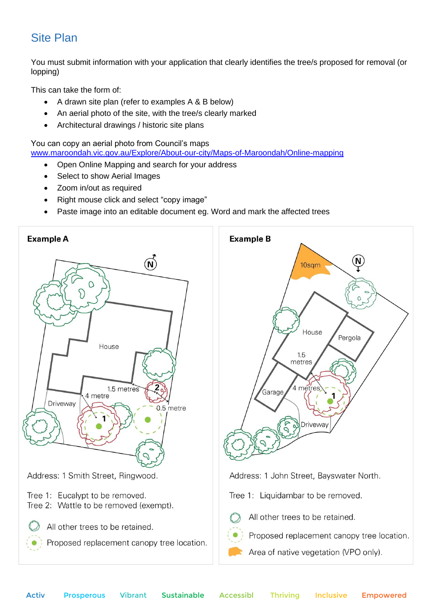# Site Plan

You must submit information with your application that clearly identifies the tree/s proposed for removal (or lopping)

This can take the form of:

- A drawn site plan (refer to examples A & B below)
- An aerial photo of the site, with the tree/s clearly marked
- Architectural drawings / historic site plans

You can copy an aerial photo from Council's maps [www.maroondah.vic.gov.au/Explore/About-our-city/Maps-of-Maroondah/Online-mapping](https://www.maroondah.vic.gov.au/Explore/About-our-city/Maps-of-Maroondah/Online-mapping)

- Open Online Mapping and search for your address
- Select to show Aerial Images
- Zoom in/out as required
- Right mouse click and select "copy image"
- Paste image into an editable document eg. Word and mark the affected trees